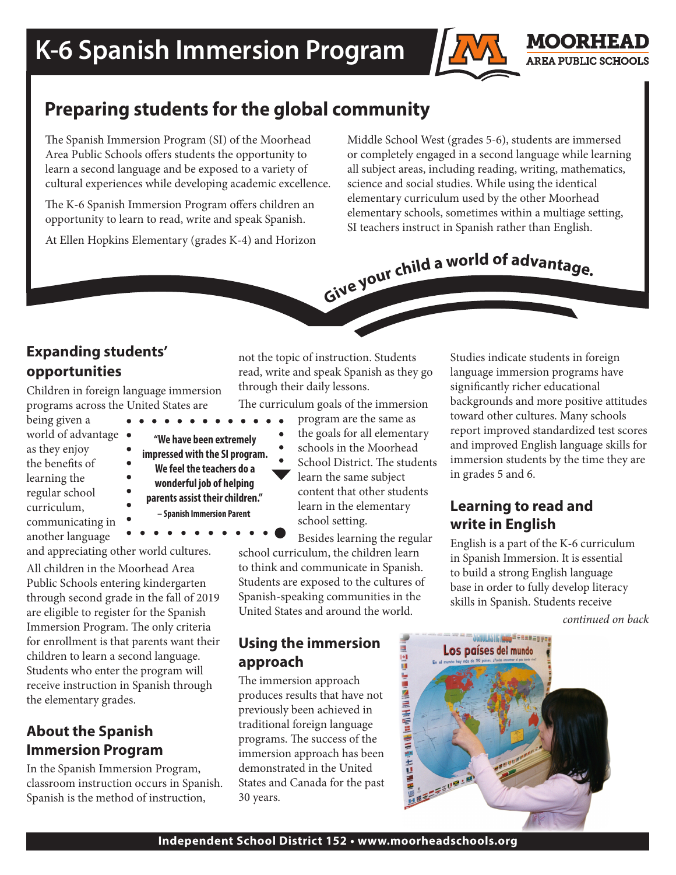

## **Preparing students for the global community**

The Spanish Immersion Program (SI) of the Moorhead Area Public Schools offers students the opportunity to learn a second language and be exposed to a variety of cultural experiences while developing academic excellence.

The K-6 Spanish Immersion Program offers children an opportunity to learn to read, write and speak Spanish.

At Ellen Hopkins Elementary (grades K-4) and Horizon

Middle School West (grades 5-6), students are immersed or completely engaged in a second language while learning all subject areas, including reading, writing, mathematics, science and social studies. While using the identical elementary curriculum used by the other Moorhead elementary schools, sometimes within a multiage setting, SI teachers instruct in Spanish rather than English.

# Give your child a world of advantage.

### **Expanding students' opportunities**

Children in foreign language immersion programs across the United States are

being given a world of advantage  $\bullet$ as they enjoy the benefits of learning the regular school curriculum, communicating in another language

**"We have been extremely impressed with the SI program. We feel the teachers do a wonderful job of helping parents assist their children." – Spanish Immersion Parent**

and appreciating other world cultures.

All children in the Moorhead Area Public Schools entering kindergarten through second grade in the fall of 2019 are eligible to register for the Spanish Immersion Program. The only criteria for enrollment is that parents want their children to learn a second language. Students who enter the program will receive instruction in Spanish through the elementary grades.

#### **About the Spanish Immersion Program**

In the Spanish Immersion Program, classroom instruction occurs in Spanish. Spanish is the method of instruction,

not the topic of instruction. Students read, write and speak Spanish as they go through their daily lessons.

The curriculum goals of the immersion

- program are the same as
- the goals for all elementary
- schools in the Moorhead School District. The students learn the same subject content that other students learn in the elementary school setting.

Besides learning the regular school curriculum, the children learn to think and communicate in Spanish. Students are exposed to the cultures of Spanish-speaking communities in the United States and around the world.

#### **Using the immersion approach**

The immersion approach produces results that have not previously been achieved in traditional foreign language programs. The success of the immersion approach has been demonstrated in the United States and Canada for the past 30 years.

Studies indicate students in foreign language immersion programs have significantly richer educational backgrounds and more positive attitudes toward other cultures. Many schools report improved standardized test scores and improved English language skills for immersion students by the time they are in grades 5 and 6.

MOORHEAD **AREA PUBLIC SCHOOLS** 

#### **Learning to read and write in English**

English is a part of the K-6 curriculum in Spanish Immersion. It is essential to build a strong English language base in order to fully develop literacy skills in Spanish. Students receive

*continued on back*